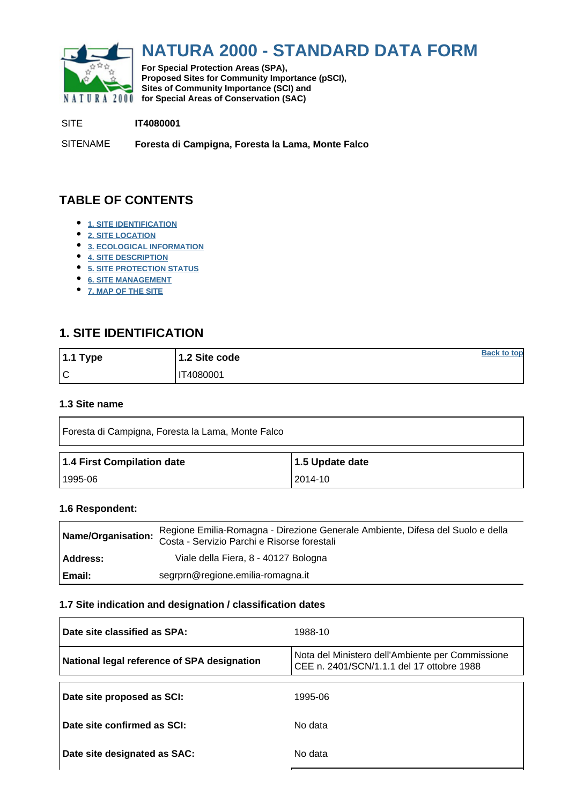<span id="page-0-0"></span>

# **NATURA 2000 - STANDARD DATA FORM**

**For Special Protection Areas (SPA), Proposed Sites for Community Importance (pSCI), Sites of Community Importance (SCI) and NATURA 2000** for Special Areas of Conservation (SAC)

SITE **IT4080001**

SITENAME **Foresta di Campigna, Foresta la Lama, Monte Falco**

# **TABLE OF CONTENTS**

- **[1. SITE IDENTIFICATION](#page-0-1)**
- **[2. SITE LOCATION](#page-1-0)**
- **[3. ECOLOGICAL INFORMATION](#page-1-1)**
- **[4. SITE DESCRIPTION](#page-6-0)**
- **[5. SITE PROTECTION STATUS](#page-6-1)**
- **[6. SITE MANAGEMENT](#page-7-0)**
- **[7. MAP OF THE SITE](#page-7-1)**

# <span id="page-0-1"></span>**1. SITE IDENTIFICATION**

| $1.1$ Type | 1.2 Site code | <b>Back to top</b> |
|------------|---------------|--------------------|
| ١C         | 'T4080001     |                    |

### **1.3 Site name**

| Foresta di Campigna, Foresta la Lama, Monte Falco |                 |  |  |  |  |  |  |  |
|---------------------------------------------------|-----------------|--|--|--|--|--|--|--|
| 1.4 First Compilation date                        | 1.5 Update date |  |  |  |  |  |  |  |
| l 1995-06                                         | 2014-10         |  |  |  |  |  |  |  |

### **1.6 Respondent:**

| Name/Organisation: | Regione Emilia-Romagna - Direzione Generale Ambiente, Difesa del Suolo e della<br>Costa - Servizio Parchi e Risorse forestali |
|--------------------|-------------------------------------------------------------------------------------------------------------------------------|
| Address:           | Viale della Fiera, 8 - 40127 Bologna                                                                                          |
| Email:             | segrprn@regione.emilia-romagna.it                                                                                             |

### **1.7 Site indication and designation / classification dates**

| Date site classified as SPA:                | 1988-10                                                                                       |
|---------------------------------------------|-----------------------------------------------------------------------------------------------|
| National legal reference of SPA designation | Nota del Ministero dell'Ambiente per Commissione<br>CEE n. 2401/SCN/1.1.1 del 17 ottobre 1988 |
| Date site proposed as SCI:                  | 1995-06                                                                                       |
| Date site confirmed as SCI:                 | No data                                                                                       |
| Date site designated as SAC:                | No data                                                                                       |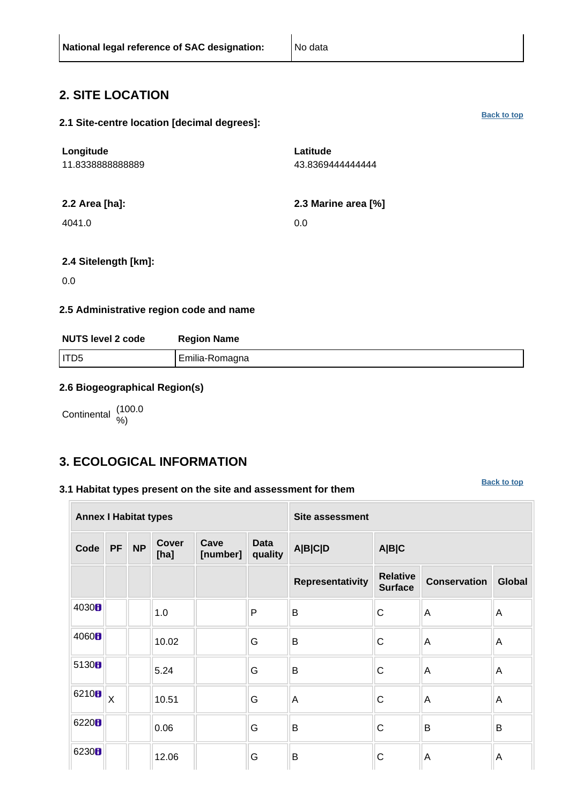### <span id="page-1-0"></span>**2. SITE LOCATION**

|  | 2.1 Site-centre location [decimal degrees]: |
|--|---------------------------------------------|
|--|---------------------------------------------|

| Longitude<br>11.8338888888889 | Latitude<br>43.8369444444444 |
|-------------------------------|------------------------------|
| 2.2 Area [ha]:                | 2.3 Marine area [%]          |
| 4041.0                        | 0.0                          |
|                               |                              |

### **2.4 Sitelength [km]:**

0.0

### **2.5 Administrative region code and name**

| <b>NUTS level 2 code</b> | <b>Region Name</b> |
|--------------------------|--------------------|
| I ITD5                   | Emilia-Romagna     |

### **2.6 Biogeographical Region(s)**

Continental (100.0

# <span id="page-1-1"></span>**3. ECOLOGICAL INFORMATION**

### **3.1 Habitat types present on the site and assessment for them**

**[Back to top](#page-0-0)**

| <b>Annex I Habitat types</b> |                         |           |                      |                  | <b>Site assessment</b> |                         |                                   |                     |        |
|------------------------------|-------------------------|-----------|----------------------|------------------|------------------------|-------------------------|-----------------------------------|---------------------|--------|
| Code                         | <b>PF</b>               | <b>NP</b> | <b>Cover</b><br>[ha] | Cave<br>[number] | <b>Data</b><br>quality | <b>A B C D</b>          | A B C                             |                     |        |
|                              |                         |           |                      |                  |                        | <b>Representativity</b> | <b>Relative</b><br><b>Surface</b> | <b>Conservation</b> | Global |
| 4030 <sub>B</sub>            |                         |           | 1.0                  |                  | P                      | B                       | C                                 | A                   | Α      |
| 4060 <sub>B</sub>            |                         |           | 10.02                |                  | G                      | B                       | C                                 | Α                   | A      |
| 5130B                        |                         |           | 5.24                 |                  | G                      | B                       | C                                 | A                   | A      |
| 6210B                        | $\overline{\mathsf{X}}$ |           | 10.51                |                  | G                      | A                       | C                                 | A                   | Α      |
| 6220 <sub>B</sub>            |                         |           | 0.06                 |                  | G                      | B                       | C                                 | B                   | B      |
| 6230H                        |                         |           | 12.06                |                  | G                      | $\mathsf B$             | C                                 | A                   | A      |

**[Back to top](#page-0-0)**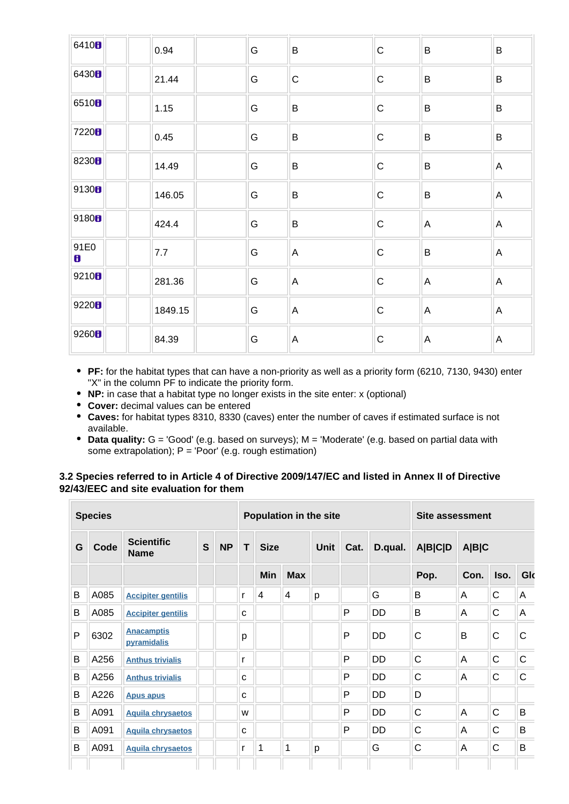| 6410 <sub>8</sub> | 0.94    | G | $\sf B$        | $\mathbf C$ | B                         | B |
|-------------------|---------|---|----------------|-------------|---------------------------|---|
| 6430 <sub>8</sub> | 21.44   | G | $\mathsf C$    | $\mathsf C$ | $\sf B$                   | B |
| 6510 <sub>8</sub> | 1.15    | G | B              | $\mathbf C$ | B                         | B |
| 7220B             | 0.45    | G | $\sf B$        | $\mathsf C$ | $\sf B$                   | B |
| 8230 <sub>8</sub> | 14.49   | G | B              | $\mathsf C$ | B                         | A |
| 9130B             | 146.05  | G | $\sf B$        | $\mathsf C$ | B                         | A |
| 9180 <sub>8</sub> | 424.4   | G | $\sf B$        | $\mathsf C$ | $\overline{A}$            | A |
| 91E0<br>8         | 7.7     | G | $\overline{A}$ | $\mathbf C$ | B                         | A |
| 9210 <sub>B</sub> | 281.36  | G | A              | $\mathsf C$ | $\mathsf{A}$              | A |
| 9220B             | 1849.15 | G | A              | $\mathsf C$ | $\mathsf{A}$              | A |
| 9260H             | 84.39   | G | $\mathsf A$    | $\mathsf C$ | $\boldsymbol{\mathsf{A}}$ | Α |

- **PF:** for the habitat types that can have a non-priority as well as a priority form (6210, 7130, 9430) enter "X" in the column PF to indicate the priority form.
- **NP:** in case that a habitat type no longer exists in the site enter: x (optional)
- **Cover:** decimal values can be entered
- **Caves:** for habitat types 8310, 8330 (caves) enter the number of caves if estimated surface is not available.
- **Data quality:** G = 'Good' (e.g. based on surveys); M = 'Moderate' (e.g. based on partial data with some extrapolation); P = 'Poor' (e.g. rough estimation)

### **3.2 Species referred to in Article 4 of Directive 2009/147/EC and listed in Annex II of Directive 92/43/EEC and site evaluation for them**

|   | <b>Species</b> |                                  |              |           |             | <b>Population in the site</b> |            |   |   |           |              | Site assessment |              |              |                |       |  |  |
|---|----------------|----------------------------------|--------------|-----------|-------------|-------------------------------|------------|---|---|-----------|--------------|-----------------|--------------|--------------|----------------|-------|--|--|
| G | Code           | <b>Scientific</b><br><b>Name</b> | $\mathbf{s}$ | <b>NP</b> | T           | <b>Size</b>                   |            |   |   |           |              | <b>Unit</b>     | Cat.         | D.qual.      | <b>A B C D</b> | A B C |  |  |
|   |                |                                  |              |           |             | Min                           | <b>Max</b> |   |   |           | Pop.         | Con.            | Iso.         | Glo          |                |       |  |  |
| B | A085           | <b>Accipiter gentilis</b>        |              |           | r           | 4                             | 4          | p |   | G         | B            | A               | $\mathsf{C}$ | A            |                |       |  |  |
| B | A085           | <b>Accipiter gentilis</b>        |              |           | C           |                               |            |   | P | DD        | B            | A               | C            | A            |                |       |  |  |
| P | 6302           | <b>Anacamptis</b><br>pyramidalis |              |           | p           |                               |            |   | P | <b>DD</b> | C            | B               | C            | C            |                |       |  |  |
| B | A256           | <b>Anthus trivialis</b>          |              |           | r           |                               |            |   | P | <b>DD</b> | $\mathsf{C}$ | A               | $\mathsf C$  | $\mathsf{C}$ |                |       |  |  |
| B | A256           | <b>Anthus trivialis</b>          |              |           | $\mathbf C$ |                               |            |   | P | <b>DD</b> | C            | A               | $\mathsf C$  | $\mathsf C$  |                |       |  |  |
| B | A226           | <b>Apus apus</b>                 |              |           | C           |                               |            |   | P | <b>DD</b> | D            |                 |              |              |                |       |  |  |
| B | A091           | <b>Aquila chrysaetos</b>         |              |           | W           |                               |            |   | P | <b>DD</b> | $\mathsf{C}$ | A               | $\mathsf{C}$ | B            |                |       |  |  |
| B | A091           | <b>Aquila chrysaetos</b>         |              |           | C           |                               |            |   | P | <b>DD</b> | C            | A               | $\mathsf C$  | B            |                |       |  |  |
| B | A091           | <b>Aquila chrysaetos</b>         |              |           | r           |                               | 1          | p |   | G         | C            | A               | $\mathsf C$  | B            |                |       |  |  |
|   |                |                                  |              |           |             |                               |            |   |   |           |              |                 |              |              |                |       |  |  |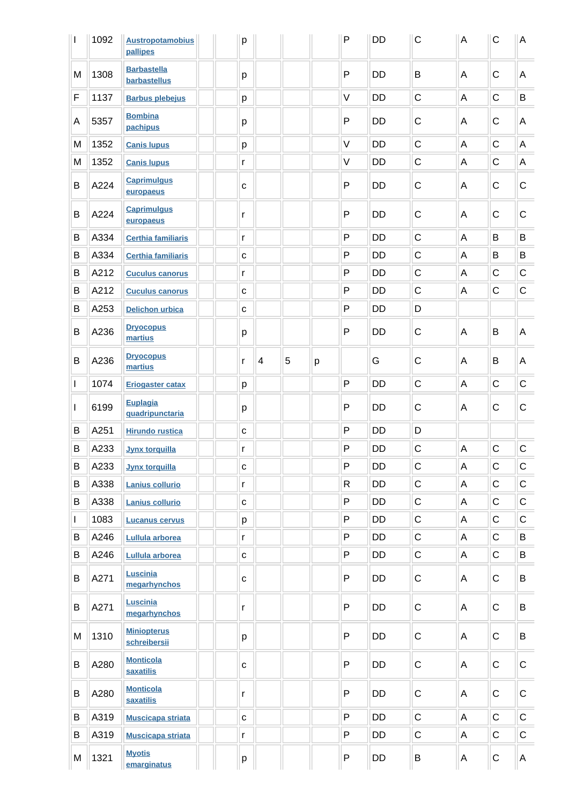|              | 1092 | <b>Austropotamobius</b><br>pallipes  | p            |   |   |   | $\mathsf{P}$ | <b>DD</b> | C           | $\mathsf A$ | $\mathsf{C}$ | A           |
|--------------|------|--------------------------------------|--------------|---|---|---|--------------|-----------|-------------|-------------|--------------|-------------|
| M            | 1308 | <b>Barbastella</b><br>barbastellus   | p            |   |   |   | $\mathsf{P}$ | <b>DD</b> | B           | A           | C            | A           |
| F            | 1137 | <b>Barbus plebejus</b>               | p            |   |   |   | $\vee$       | DD        | C           | A           | $\mathsf C$  | B           |
| Α            | 5357 | <b>Bombina</b><br>pachipus           | р            |   |   |   | $\mathsf{P}$ | DD        | C           | A           | $\mathsf C$  | A           |
| M            | 1352 | <b>Canis lupus</b>                   | p            |   |   |   | $\vee$       | <b>DD</b> | $\mathsf C$ | A           | C            | A           |
| M            | 1352 | <b>Canis lupus</b>                   | r            |   |   |   | $\vee$       | <b>DD</b> | C           | A           | C            | A           |
| B            | A224 | <b>Caprimulgus</b><br>europaeus      | $\mathbf c$  |   |   |   | $\mathsf{P}$ | <b>DD</b> | C           | A           | C            | $\mathsf C$ |
| B            | A224 | <b>Caprimulgus</b><br>europaeus      | r            |   |   |   | $\mathsf{P}$ | <b>DD</b> | C           | A           | C            | $\mathsf C$ |
| B            | A334 | <b>Certhia familiaris</b>            | r            |   |   |   | P            | <b>DD</b> | $\mathsf C$ | $\mathsf A$ | B            | B           |
| В            | A334 | <b>Certhia familiaris</b>            | $\mathbf C$  |   |   |   | P            | <b>DD</b> | $\mathsf C$ | A           | B            | B           |
| B            | A212 | <b>Cuculus canorus</b>               | r            |   |   |   | $\mathsf{P}$ | <b>DD</b> | $\mathsf C$ | A           | $\mathsf C$  | $\mathsf C$ |
| В            | A212 | <b>Cuculus canorus</b>               | C            |   |   |   | $\mathsf{P}$ | <b>DD</b> | $\mathsf C$ | A           | $\mathsf C$  | $\mathsf C$ |
| В            | A253 | <b>Delichon urbica</b>               | $\mathbf C$  |   |   |   | $\mathsf{P}$ | <b>DD</b> | D           |             |              |             |
| B            | A236 | <b>Dryocopus</b><br>martius          | p            |   |   |   | $\mathsf{P}$ | <b>DD</b> | C           | A           | B            | A           |
| B            | A236 | <b>Dryocopus</b><br>martius          | r            | 4 | 5 | р |              | G         | C           | A           | B            | A           |
| $\mathbf{I}$ | 1074 | <b>Eriogaster catax</b>              | p            |   |   |   | $\mathsf{P}$ | <b>DD</b> | $\mathsf C$ | A           | C            | $\mathsf C$ |
| L            | 6199 | <b>Euplagia</b><br>quadripunctaria   | р            |   |   |   | $\mathsf{P}$ | <b>DD</b> | C           | Α           | C            | $\mathsf C$ |
| B            | A251 | <b>Hirundo rustica</b>               | $\mathbf{C}$ |   |   |   | $\mathsf{P}$ | <b>DD</b> | D           |             |              |             |
| B            | A233 | <b>Jynx torquilla</b>                | r            |   |   |   | $\mathsf{P}$ | DD        | C           | A           | $\mathsf C$  | $\mathsf C$ |
| В            | A233 | <b>Jynx torquilla</b>                | $\mathbf{C}$ |   |   |   | $\mathsf{P}$ | DD        | $\mathsf C$ | Α           | $\mathsf C$  | $\mathsf C$ |
| В            | A338 | Lanius collurio                      | r            |   |   |   | $\mathsf{R}$ | DD        | $\mathsf C$ | Α           | $\mathsf C$  | $\mathsf C$ |
| B            | A338 | Lanius collurio                      | $\mathbf C$  |   |   |   | $\mathsf{P}$ | DD        | $\mathsf C$ | A           | $\mathsf C$  | $\mathsf C$ |
| $\mathbf{I}$ | 1083 | <b>Lucanus cervus</b>                | р            |   |   |   | $\mathsf{P}$ | DD        | $\mathsf C$ | A           | $\mathsf C$  | $\mathsf C$ |
| В            | A246 | Lullula arborea                      | r            |   |   |   | $\mathsf{P}$ | DD        | C           | Α           | $\mathsf C$  | B           |
| Β            | A246 | Lullula arborea                      | $\mathbf C$  |   |   |   | $\mathsf{P}$ | <b>DD</b> | C           | Α           | $\mathsf C$  | B           |
| B            | A271 | Luscinia<br>megarhynchos             | $\mathbf{C}$ |   |   |   | $\mathsf{P}$ | DD        | С           | Α           | C            | B           |
| B            | A271 | Luscinia<br>megarhynchos             | r            |   |   |   | $\mathsf{P}$ | DD        | $\mathsf C$ | Α           | $\mathsf C$  | B           |
| M            | 1310 | <b>Miniopterus</b><br>schreibersii   | p            |   |   |   | $\mathsf{P}$ | DD        | $\mathsf C$ | Α           | $\mathsf C$  | B           |
| B            | A280 | <b>Monticola</b><br>saxatilis        | $\mathbf{C}$ |   |   |   | $\mathsf{P}$ | DD        | С           | Α           | $\mathsf C$  | $\mathsf C$ |
| B            | A280 | <b>Monticola</b><br><b>saxatilis</b> | r            |   |   |   | $\mathsf{P}$ | DD        | С           | Α           | $\mathsf C$  | $\mathsf C$ |
| B            | A319 | <b>Muscicapa striata</b>             | $\mathbf{C}$ |   |   |   | $\mathsf{P}$ | DD        | $\mathsf C$ | Α           | $\mathsf C$  | $\mathsf C$ |
| B            | A319 | <b>Muscicapa striata</b>             | r            |   |   |   | $\mathsf{P}$ | DD        | $\mathsf C$ | Α           | C            | $\mathsf C$ |
| M            | 1321 | <b>Myotis</b><br>emarginatus         | p            |   |   |   | ${\sf P}$    | DD        | B           | A           | С            | A           |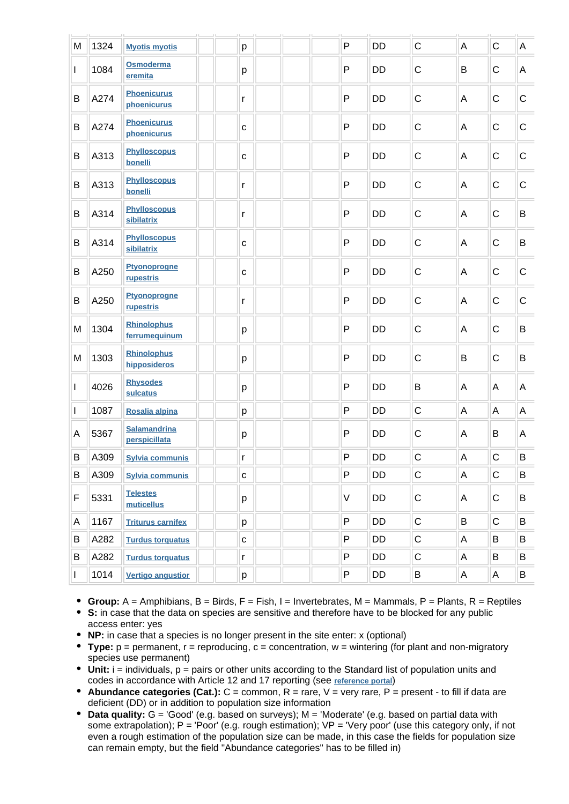| M            | 1324 | <b>Myotis myotis</b>                 | p            |  | P            | <b>DD</b> | $\mathsf C$ | A | $\mathsf C$ | $\overline{A}$ |
|--------------|------|--------------------------------------|--------------|--|--------------|-----------|-------------|---|-------------|----------------|
| $\mathbf{I}$ | 1084 | Osmoderma<br>eremita                 | р            |  | $\mathsf{P}$ | DD        | $\mathsf C$ | B | $\mathsf C$ | A              |
| B            | A274 | <b>Phoenicurus</b><br>phoenicurus    | r            |  | $\mathsf{P}$ | DD        | $\mathsf C$ | Α | $\mathsf C$ | $\mathbf C$    |
| B            | A274 | <b>Phoenicurus</b><br>phoenicurus    | $\mathbf{C}$ |  | P            | DD        | $\mathsf C$ | Α | $\mathsf C$ | $\mathbf C$    |
| B            | A313 | <b>Phylloscopus</b><br>bonelli       | $\mathbf{C}$ |  | P            | <b>DD</b> | $\mathsf C$ | Α | $\mathsf C$ | $\mathsf{C}$   |
| B            | A313 | <b>Phylloscopus</b><br>bonelli       | r            |  | P            | <b>DD</b> | $\mathsf C$ | Α | $\mathsf C$ | $\mathsf{C}$   |
| B            | A314 | <b>Phylloscopus</b><br>sibilatrix    | r            |  | P            | <b>DD</b> | $\mathsf C$ | Α | $\mathsf C$ | B              |
| B            | A314 | <b>Phylloscopus</b><br>sibilatrix    | $\mathtt{C}$ |  | P            | <b>DD</b> | $\mathsf C$ | Α | $\mathsf C$ | B              |
| B            | A250 | <b>Ptyonoprogne</b><br>rupestris     | $\mathtt{C}$ |  | P            | DD        | $\mathsf C$ | Α | $\mathsf C$ | $\mathbf C$    |
| B            | A250 | <b>Ptyonoprogne</b><br>rupestris     | r            |  | P            | <b>DD</b> | $\mathsf C$ | Α | $\mathsf C$ | $\mathsf{C}$   |
| M            | 1304 | <b>Rhinolophus</b><br>ferrumequinum  | р            |  | P            | <b>DD</b> | $\mathsf C$ | A | $\mathsf C$ | B              |
| M            | 1303 | <b>Rhinolophus</b><br>hipposideros   | p            |  | $\mathsf{P}$ | <b>DD</b> | $\mathsf C$ | B | $\mathsf C$ | $\sf B$        |
| $\mathbf{I}$ | 4026 | <b>Rhysodes</b><br>sulcatus          | р            |  | $\mathsf{P}$ | DD        | B           | A | A           | $\mathsf{A}$   |
| I            | 1087 | Rosalia alpina                       | p            |  | $\mathsf{P}$ | DD        | $\mathsf C$ | A | A           | $\mathsf A$    |
| A            | 5367 | <b>Salamandrina</b><br>perspicillata | p            |  | P            | DD        | $\mathsf C$ | A | B           | $\overline{A}$ |
| B            | A309 | <b>Sylvia communis</b>               | r            |  | $\mathsf{P}$ | <b>DD</b> | $\mathsf C$ | A | $\mathsf C$ | B              |
| B            | A309 | <b>Sylvia communis</b>               | ${\bf C}$    |  | $\mathsf{P}$ | DD        | $\mathsf C$ | A | $\mathsf C$ | B              |
| F            | 5331 | <b>Telestes</b><br>muticellus        | р            |  | V            | DD        | $\mathsf C$ | Α | $\mathsf C$ | B              |
| Α            | 1167 | <b>Triturus carnifex</b>             | р            |  | P            | <b>DD</b> | $\mathsf C$ | B | $\mathsf C$ | B              |
| В            | A282 | <b>Turdus torquatus</b>              | $\mathbf{C}$ |  | P            | DD        | С           | Α | B           | B              |
| В            | A282 | <b>Turdus torquatus</b>              | r            |  | P            | DD        | ${\bf C}$   | A | B           | B              |
| $\mathbf{I}$ | 1014 | <b>Vertigo angustior</b>             | p            |  | P            | DD        | B           | A | $\mathsf A$ | B              |

**Group:** A = Amphibians, B = Birds, F = Fish, I = Invertebrates, M = Mammals, P = Plants, R = Reptiles

**S:** in case that the data on species are sensitive and therefore have to be blocked for any public access enter: yes

- **NP:** in case that a species is no longer present in the site enter: x (optional)
- **Type:** p = permanent, r = reproducing, c = concentration, w = wintering (for plant and non-migratory species use permanent)
- Unit: i = individuals, p = pairs or other units according to the Standard list of population units and codes in accordance with Article 12 and 17 reporting (see **[reference portal](http://bd.eionet.europa.eu/activities/Natura_2000/reference_portal)**)
- **Abundance categories (Cat.):**  $C =$  common,  $R =$  rare,  $V =$  very rare,  $P =$  present to fill if data are deficient (DD) or in addition to population size information
- **Data quality:** G = 'Good' (e.g. based on surveys); M = 'Moderate' (e.g. based on partial data with some extrapolation);  $P = 'Poor'$  (e.g. rough estimation);  $VP = 'Very$  poor' (use this category only, if not even a rough estimation of the population size can be made, in this case the fields for population size can remain empty, but the field "Abundance categories" has to be filled in)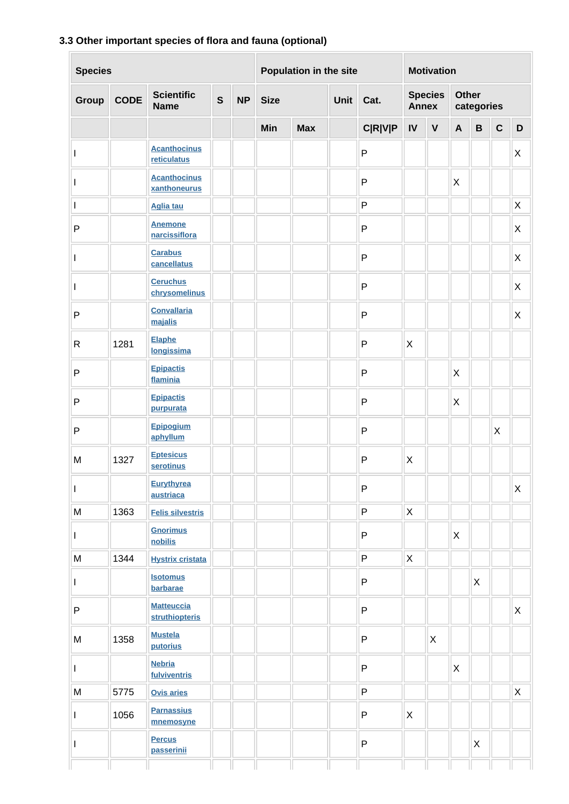### **3.3 Other important species of flora and fauna (optional)**

| <b>Species</b> |             |                                     | Population in the site |           |             | <b>Motivation</b>                                     |  |                |              |                            |                           |              |              |             |
|----------------|-------------|-------------------------------------|------------------------|-----------|-------------|-------------------------------------------------------|--|----------------|--------------|----------------------------|---------------------------|--------------|--------------|-------------|
| Group          | <b>CODE</b> | <b>Scientific</b><br><b>Name</b>    | $\mathbf{s}$           | <b>NP</b> | <b>Size</b> | <b>Species</b><br><b>Unit</b><br>Cat.<br><b>Annex</b> |  |                |              | <b>Other</b><br>categories |                           |              |              |             |
|                |             |                                     |                        |           | Min         | <b>Max</b>                                            |  | <b>C R V P</b> | IV           | $\mathbf V$                | $\mathbf{A}$              | $\, {\bf B}$ | $\mathbf{C}$ | D           |
| L              |             | <b>Acanthocinus</b><br>reticulatus  |                        |           |             |                                                       |  | $\mathsf{P}$   |              |                            |                           |              |              | X           |
| I              |             | <b>Acanthocinus</b><br>xanthoneurus |                        |           |             |                                                       |  | $\mathsf{P}$   |              |                            | X                         |              |              |             |
| L              |             | <b>Aglia tau</b>                    |                        |           |             |                                                       |  | $\mathsf{P}$   |              |                            |                           |              |              | $\mathsf X$ |
| $\mathsf{P}$   |             | <b>Anemone</b><br>narcissiflora     |                        |           |             |                                                       |  | $\mathsf{P}$   |              |                            |                           |              |              | X           |
| L              |             | <b>Carabus</b><br>cancellatus       |                        |           |             |                                                       |  | $\mathsf{P}$   |              |                            |                           |              |              | $\mathsf X$ |
| I              |             | <b>Ceruchus</b><br>chrysomelinus    |                        |           |             |                                                       |  | $\mathsf{P}$   |              |                            |                           |              |              | X           |
| ${\sf P}$      |             | <b>Convallaria</b><br>majalis       |                        |           |             |                                                       |  | P              |              |                            |                           |              |              | Χ           |
| $\mathsf{R}$   | 1281        | <b>Elaphe</b><br>longissima         |                        |           |             |                                                       |  | P              | X            |                            |                           |              |              |             |
| $\mathsf{P}$   |             | <b>Epipactis</b><br>flaminia        |                        |           |             |                                                       |  | P              |              |                            | $\mathsf X$               |              |              |             |
| $\sf P$        |             | <b>Epipactis</b><br>purpurata       |                        |           |             |                                                       |  | $\mathsf{P}$   |              |                            | $\mathsf X$               |              |              |             |
| $\mathsf{P}$   |             | Epipogium<br>aphyllum               |                        |           |             |                                                       |  | $\mathsf{P}$   |              |                            |                           |              | X            |             |
| M              | 1327        | <b>Eptesicus</b><br>serotinus       |                        |           |             |                                                       |  | P              | X            |                            |                           |              |              |             |
| $\mathbf{I}$   |             | <b>Eurythyrea</b><br>austriaca      |                        |           |             |                                                       |  | ${\sf P}$      |              |                            |                           |              |              | $\mathsf X$ |
| M              | 1363        | <b>Felis silvestris</b>             |                        |           |             |                                                       |  | P              | X            |                            |                           |              |              |             |
| $\mathbf{I}$   |             | <b>Gnorimus</b><br>nobilis          |                        |           |             |                                                       |  | $\mathsf{P}$   |              |                            | $\boldsymbol{\mathsf{X}}$ |              |              |             |
| M              | 1344        | <b>Hystrix cristata</b>             |                        |           |             |                                                       |  | $\mathsf{P}$   | X            |                            |                           |              |              |             |
| $\mathsf{I}$   |             | <b>Isotomus</b><br>barbarae         |                        |           |             |                                                       |  | P              |              |                            |                           | X            |              |             |
| ${\sf P}$      |             | <b>Matteuccia</b><br>struthiopteris |                        |           |             |                                                       |  | P              |              |                            |                           |              |              | $\mathsf X$ |
| ${\sf M}$      | 1358        | <b>Mustela</b><br>putorius          |                        |           |             |                                                       |  | P              |              | $\mathsf{X}$               |                           |              |              |             |
| $\mathbf{I}$   |             | <b>Nebria</b><br>fulviventris       |                        |           |             |                                                       |  | ${\sf P}$      |              |                            | $\boldsymbol{\mathsf{X}}$ |              |              |             |
| ${\sf M}$      | 5775        | <b>Ovis aries</b>                   |                        |           |             |                                                       |  | P              |              |                            |                           |              |              | X           |
| L              | 1056        | <b>Parnassius</b><br>mnemosyne      |                        |           |             |                                                       |  | P              | $\mathsf{X}$ |                            |                           |              |              |             |
| I              |             | <b>Percus</b><br>passerinii         |                        |           |             |                                                       |  | $\sf P$        |              |                            |                           | X            |              |             |
|                |             |                                     |                        |           |             |                                                       |  |                |              |                            |                           |              |              |             |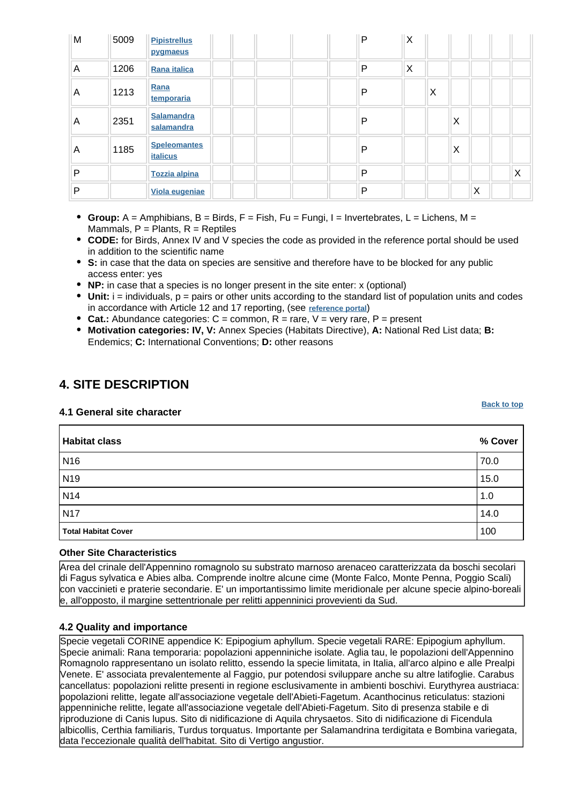| M | 5009 | <b>Pipistrellus</b><br>pygmaeus        | P | X |   |   |   |   |
|---|------|----------------------------------------|---|---|---|---|---|---|
| A | 1206 | Rana italica                           | P | X |   |   |   |   |
| A | 1213 | Rana<br>temporaria                     | P |   | X |   |   |   |
| A | 2351 | <b>Salamandra</b><br>salamandra        | P |   |   | X |   |   |
| A | 1185 | <b>Speleomantes</b><br><b>italicus</b> | P |   |   | X |   |   |
| P |      | <b>Tozzia alpina</b>                   | P |   |   |   |   | X |
| P |      | Viola eugeniae                         | P |   |   |   | X |   |

- **Group:**  $A =$  Amphibians,  $B =$  Birds,  $F =$  Fish,  $Fu =$  Fungi,  $I =$  Invertebrates,  $L =$  Lichens,  $M =$ Mammals,  $P =$  Plants,  $R =$  Reptiles
- **CODE:** for Birds, Annex IV and V species the code as provided in the reference portal should be used in addition to the scientific name
- **S:** in case that the data on species are sensitive and therefore have to be blocked for any public access enter: yes
- **NP:** in case that a species is no longer present in the site enter: x (optional)
- **Unit:** i = individuals, p = pairs or other units according to the standard list of population units and codes in accordance with Article 12 and 17 reporting, (see **[reference portal](http://bd.eionet.europa.eu/activities/Natura_2000/reference_portal)**)
- **Cat.:** Abundance categories: C = common, R = rare, V = very rare, P = present
- **Motivation categories: IV, V:** Annex Species (Habitats Directive), **A:** National Red List data; **B:** Endemics; **C:** International Conventions; **D:** other reasons

### <span id="page-6-0"></span>**4. SITE DESCRIPTION**

#### **4.1 General site character**

**Habitat class % Cover** N16 70.0 N19 15.0 N14  $\vert$  1.0 N17  $\vert$  14.0 **Total Habitat Cover** 100

#### **Other Site Characteristics**

Area del crinale dell'Appennino romagnolo su substrato marnoso arenaceo caratterizzata da boschi secolari di Fagus sylvatica e Abies alba. Comprende inoltre alcune cime (Monte Falco, Monte Penna, Poggio Scali) con vaccinieti e praterie secondarie. E' un importantissimo limite meridionale per alcune specie alpino-boreali e, all'opposto, il margine settentrionale per relitti appenninici provevienti da Sud.

#### **4.2 Quality and importance**

<span id="page-6-1"></span>Specie vegetali CORINE appendice K: Epipogium aphyllum.
Specie vegetali RARE: Epipogium aphyllum. Specie animali: Rana temporaria: popolazioni appenniniche isolate.
Aglia tau, le popolazioni dell'Appennino Romagnolo rappresentano un isolato relitto, essendo la specie limitata, in Italia, all'arco alpino e alle Prealpi Venete. E' associata prevalentemente al Faggio, pur potendosi sviluppare anche su altre latifoglie.
Carabus cancellatus: popolazioni relitte presenti in regione esclusivamente in ambienti boschivi.
Eurythyrea austriaca: popolazioni relitte, legate all'associazione vegetale dell'Abieti-Fagetum.
Acanthocinus reticulatus: stazioni appenniniche relitte, legate all'associazione vegetale dell'Abieti-Fagetum.
Sito di presenza stabile e di riproduzione di Canis lupus.
Sito di nidificazione di Aquila chrysaetos.
Sito di nidificazione di Ficendula albicollis, Certhia familiaris, Turdus torquatus.
Importante per Salamandrina terdigitata e Bombina variegata, data l'eccezionale qualità dell'habitat.
Sito di Vertigo angustior.

**[Back to top](#page-0-0)**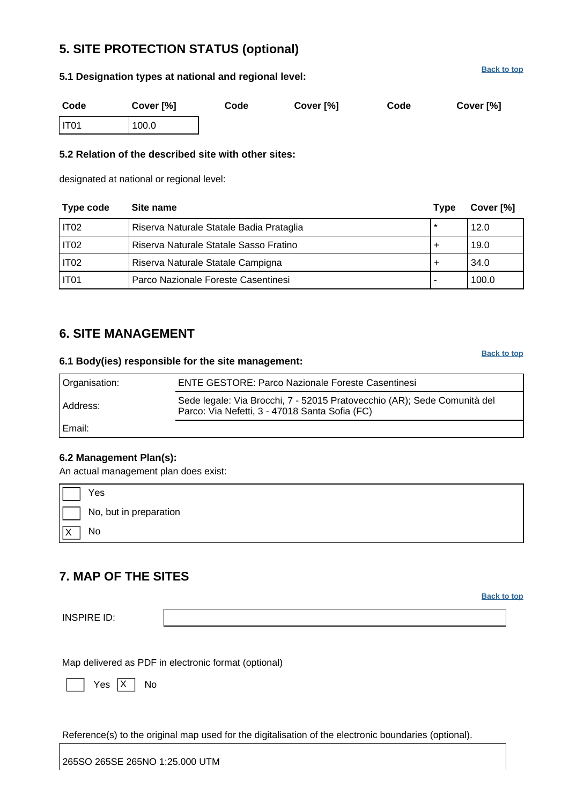# **5. SITE PROTECTION STATUS (optional)**

### **5.1 Designation types at national and regional level:**

**[Back to top](#page-0-0)**

| Code             | Cover [%] | Code | Cover [%] | Code | Cover [%] |
|------------------|-----------|------|-----------|------|-----------|
| IT <sub>01</sub> | 100.0     |      |           |      |           |

### **5.2 Relation of the described site with other sites:**

designated at national or regional level:

| Type code | Site name                                | Type    | Cover [%] |
|-----------|------------------------------------------|---------|-----------|
| IT02      | Riserva Naturale Statale Badia Prataglia | $\star$ | 12.0      |
| IT02      | Riserva Naturale Statale Sasso Fratino   |         | 19.0      |
| IT02      | Riserva Naturale Statale Campigna        |         | 34.0      |
| I IT01    | Parco Nazionale Foreste Casentinesi      | ٠       | 100.0     |

### <span id="page-7-0"></span>**6. SITE MANAGEMENT**

#### **6.1 Body(ies) responsible for the site management:**

**[Back to top](#page-0-0)**

| Organisation: | <b>ENTE GESTORE: Parco Nazionale Foreste Casentinesi</b>                                                                   |
|---------------|----------------------------------------------------------------------------------------------------------------------------|
| Address:      | Sede legale: Via Brocchi, 7 - 52015 Pratovecchio (AR); Sede Comunità del<br>Parco: Via Nefetti, 3 - 47018 Santa Sofia (FC) |
| Email:        |                                                                                                                            |

### **6.2 Management Plan(s):**

An actual management plan does exist:

| Yes                    |
|------------------------|
| No, but in preparation |
| No                     |

# <span id="page-7-1"></span>**7. MAP OF THE SITES**

**[Back to top](#page-0-0)**

INSPIRE ID:

Map delivered as PDF in electronic format (optional)

Yes |X | No

Reference(s) to the original map used for the digitalisation of the electronic boundaries (optional).